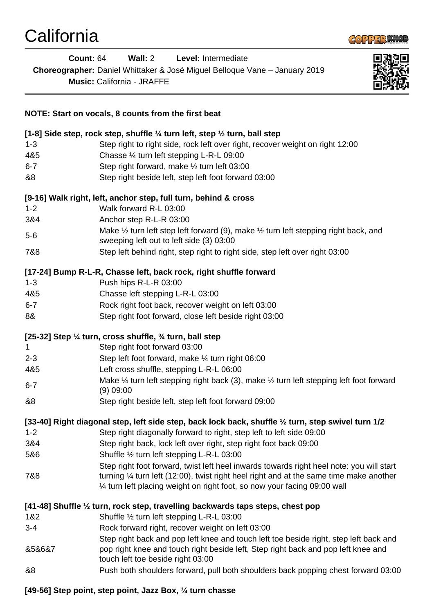

| <b>Count: 64</b>                                                  | Wall: 2<br>Level: Intermediate<br>Choreographer: Daniel Whittaker & José Miguel Belloque Vane - January 2019<br><b>Music: California - JRAFFE</b>                              |
|-------------------------------------------------------------------|--------------------------------------------------------------------------------------------------------------------------------------------------------------------------------|
|                                                                   | NOTE: Start on vocals, 8 counts from the first beat                                                                                                                            |
|                                                                   | [1-8] Side step, rock step, shuffle $\frac{1}{4}$ turn left, step $\frac{1}{2}$ turn, ball step                                                                                |
| $1 - 3$                                                           | Step right to right side, rock left over right, recover weight on right 12:00                                                                                                  |
| 4&5                                                               | Chasse 1/4 turn left stepping L-R-L 09:00                                                                                                                                      |
| $6 - 7$                                                           | Step right forward, make 1/2 turn left 03:00                                                                                                                                   |
| &8                                                                | Step right beside left, step left foot forward 03:00                                                                                                                           |
|                                                                   | [9-16] Walk right, left, anchor step, full turn, behind & cross                                                                                                                |
| $1 - 2$                                                           | Walk forward R-L 03:00                                                                                                                                                         |
| 3&4                                                               | Anchor step R-L-R 03:00                                                                                                                                                        |
| $5-6$                                                             | Make 1/2 turn left step left forward (9), make 1/2 turn left stepping right back, and<br>sweeping left out to left side (3) 03:00                                              |
| 7&8                                                               | Step left behind right, step right to right side, step left over right 03:00                                                                                                   |
| [17-24] Bump R-L-R, Chasse left, back rock, right shuffle forward |                                                                                                                                                                                |
| $1 - 3$                                                           | Push hips R-L-R 03:00                                                                                                                                                          |
| 4&5                                                               | Chasse left stepping L-R-L 03:00                                                                                                                                               |
| $6 - 7$                                                           | Rock right foot back, recover weight on left 03:00                                                                                                                             |
| 8&                                                                | Step right foot forward, close left beside right 03:00                                                                                                                         |
|                                                                   | [25-32] Step 1/4 turn, cross shuffle, 3/4 turn, ball step                                                                                                                      |
| 1                                                                 | Step right foot forward 03:00                                                                                                                                                  |
| $2 - 3$                                                           | Step left foot forward, make 1/4 turn right 06:00                                                                                                                              |
| 4&5                                                               | Left cross shuffle, stepping L-R-L 06:00                                                                                                                                       |
| $6 - 7$                                                           | Make 1/4 turn left stepping right back (3), make 1/2 turn left stepping left foot forward<br>$(9)$ 09:00                                                                       |
| &8                                                                | Step right beside left, step left foot forward 09:00                                                                                                                           |
|                                                                   | [33-40] Right diagonal step, left side step, back lock back, shuffle 1/2 turn, step swivel turn 1/2                                                                            |
| $1 - 2$                                                           | Step right diagonally forward to right, step left to left side 09:00                                                                                                           |
| 3&4                                                               | Step right back, lock left over right, step right foot back 09:00                                                                                                              |
| 5&6                                                               | Shuffle 1/2 turn left stepping L-R-L 03:00                                                                                                                                     |
|                                                                   | Step right foot forward, twist left heel inwards towards right heel note: you will start                                                                                       |
| 7&8                                                               | turning $\frac{1}{4}$ turn left (12:00), twist right heel right and at the same time make another<br>1⁄4 turn left placing weight on right foot, so now your facing 09:00 wall |
|                                                                   | [41-48] Shuffle 1/2 turn, rock step, travelling backwards taps steps, chest pop                                                                                                |
| 1&2                                                               | Shuffle 1/2 turn left stepping L-R-L 03:00                                                                                                                                     |
| $3 - 4$                                                           | Rock forward right, recover weight on left 03:00                                                                                                                               |
|                                                                   | Step right back and pop left knee and touch left toe beside right, step left back and                                                                                          |
| 858687                                                            | pop right knee and touch right beside left, Step right back and pop left knee and<br>touch left toe beside right 03:00                                                         |
| &8                                                                | Push both shoulders forward, pull both shoulders back popping chest forward 03:00                                                                                              |

**[49-56] Step point, step point, Jazz Box, ¼ turn chasse**